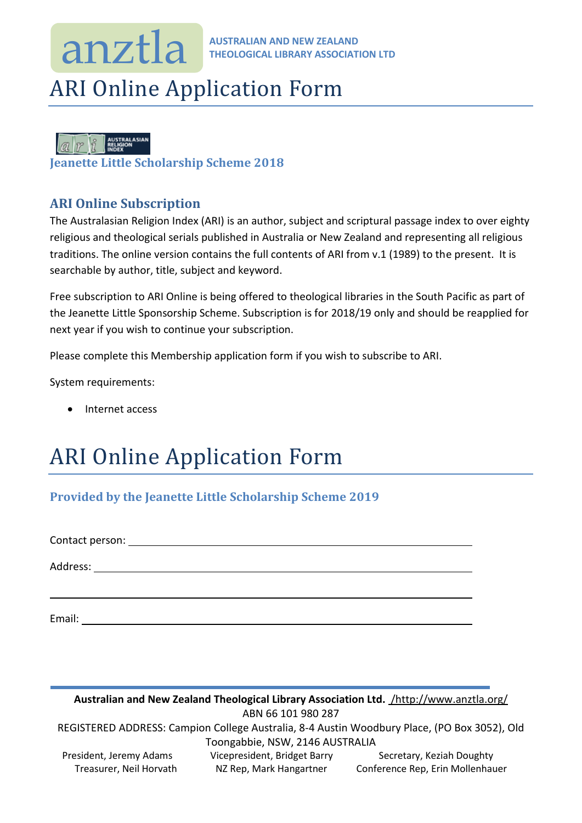### **AUSTRALIAN AND NEW ZEALAND THEOLOGICAL LIBRARY ASSOCIATION LTD** anztla

## ARI Online Application Form

|--|

**Jeanette Little Scholarship Scheme 2018**

### **ARI Online Subscription**

The Australasian Religion Index (ARI) is an author, subject and scriptural passage index to over eighty religious and theological serials published in Australia or New Zealand and representing all religious traditions. The online version contains the full contents of ARI from v.1 (1989) to the present. It is searchable by author, title, subject and keyword.

Free subscription to ARI Online is being offered to theological libraries in the South Pacific as part of the Jeanette Little Sponsorship Scheme. Subscription is for 2018/19 only and should be reapplied for next year if you wish to continue your subscription.

Please complete this Membership application form if you wish to subscribe to ARI.

System requirements:

Internet access

# ARI Online Application Form

### **Provided by the Jeanette Little Scholarship Scheme 2019**

Contact person: Address:

Email:

**Australian and New Zealand Theological Library Association Ltd.** /http://www.anztla.org/ ABN 66 101 980 287 REGISTERED ADDRESS: Campion College Australia, 8-4 Austin Woodbury Place, (PO Box 3052), Old Toongabbie, NSW, 2146 AUSTRALIA President, Jeremy Adams Vicepresident, Bridget Barry Secretary, Keziah Doughty Treasurer, Neil Horvath NZ Rep, Mark Hangartner Conference Rep, Erin Mollenhauer